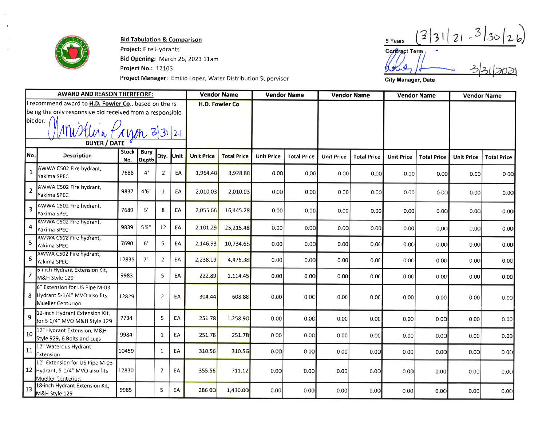

**Bid Tabulation & Comparison** 

Project: Fire Hydrants Bid Opening: March 26, 2021 11am **Project No.: 12103** Project Manager: Emilio Lopez, Water Distribution Supervisor

 $3|3|21 - 3|30|26$ 5 Years  $331702$ Contract Term

Hotel

City Manager, Date

|                          | <b>AWARD AND REASON THEREFORE:</b>                                                                                              |                     |                      | <b>Vendor Name</b>    |    | <b>Vendor Name</b> |                    | <b>Vendor Name</b> |                    | <b>Vendor Name</b> |                    | <b>Vendor Name</b> |                    |                   |                    |
|--------------------------|---------------------------------------------------------------------------------------------------------------------------------|---------------------|----------------------|-----------------------|----|--------------------|--------------------|--------------------|--------------------|--------------------|--------------------|--------------------|--------------------|-------------------|--------------------|
|                          | I recommend award to H.D. Fowler Co., based on theirs<br>being the only responsive bid received from a responsible<br>bidder. / |                     |                      | <b>H.D. Fowler Co</b> |    |                    |                    |                    |                    |                    |                    |                    |                    |                   |                    |
| <u>MWHUAN PRYM 33121</u> |                                                                                                                                 |                     |                      |                       |    |                    |                    |                    |                    |                    |                    |                    |                    |                   |                    |
|                          |                                                                                                                                 |                     |                      |                       |    |                    |                    |                    |                    |                    |                    |                    |                    |                   |                    |
| No.                      | <b>Description</b>                                                                                                              | <b>Stock</b><br>No. | <b>Bury</b><br>Depth | Qty. Unit             |    | <b>Unit Price</b>  | <b>Total Price</b> | <b>Unit Price</b>  | <b>Total Price</b> | <b>Unit Price</b>  | <b>Total Price</b> | <b>Unit Price</b>  | <b>Total Price</b> | <b>Unit Price</b> | <b>Total Price</b> |
| 1                        | AWWA C502 Fire hydrant,<br>Yakima SPEC                                                                                          | 7688                | 4'                   | $\overline{2}$        | EA | 1,964.40           | 3,928.80           | 0.00               | 0.00               | 0.00               | 0.00               | 0.00               | 0.00               | 0.00              | 0.00               |
| 2                        | AWWA C502 Fire hydrant,<br>Yakima SPEC                                                                                          | 9837                | 4'6''                | 1                     | EA | 2,010.03           | 2,010.03           | 0.00               | 0.00               | 0.00               | 0.00               | 0.00               | 0.00               | 0.00              | 0.00               |
| 3                        | AWWA C502 Fire hydrant,<br>Yakima SPEC                                                                                          | 7689                | 5'                   | 8                     | EA | 2,055.66           | 16,445.28          | 0.00               | 0.00               | 0.00               | 0.00               | 0.00               | 0.00               | 0.00              | 0.00               |
| 4                        | AWWA C502 Fire hydrant,<br>Yakima SPEC                                                                                          | 9839                | 5'6''                | 12                    | EA | 2,101.29           | 25,215.48          | 0.00               | 0.00               | 0.00               | 0.00               | 0.00               | 0.00               | 0.00              | 0.00               |
| 5                        | AWWA C502 Fire hydrant,<br>Yakima SPEC                                                                                          | 7690                | 6'                   | 5                     | EA | 2,146.93           | 10,734.65          | 0.00               | 0.00               | 0.001              | 0.00               | 0.00               | 0.00               | 0.00              | 0.00               |
| 6                        | AWWA C502 Fire hydrant,<br>Yakima SPEC                                                                                          | 12835               | 7'                   | $\overline{2}$        | EA | 2,238.19           | 4,476.38           | 0.00               | 0.00               | 0.00               | 0.00               | 0.00               | 0.00               | 0.001             | 0.00               |
| 7                        | 6-inch Hydrant Extension Kit,<br>M&H Style 129                                                                                  | 9983                |                      | 5                     | EA | 222.89             | 1,114.45           | 0.00               | 0.00               | 0.00               | 0.00               | 0.00               | 0.00               | 0.00              | 0.00               |
| 8                        | 6" Extension for US Pipe M-03<br>Hydrant 5-1/4" MVO also fits<br>Mueller Centurion                                              | 12829               |                      | $\overline{2}$        | EA | 304.44             | 608.88             | 0.00               | 0.00               | 0.00               | 0.00               | 0.00               | 0.00               | 0.00              | 0.00               |
| 9                        | 12-inch Hydrant Extension Kit,<br>for 5 1/4" MVO M&H Style 129                                                                  | 7734                |                      | 5                     | EA | 251.78             | 1,258.90           | 0.00               | 0.00               | 0.00               | 0.00               | 0.00               | 0.00               | 0.00              | 0.00               |
| 10                       | 12" Hydrant Extension, M&H<br>Style 929, 6 Bolts and Lugs                                                                       | 9984                |                      | $\mathbf{1}$          | EA | 251.78             | 251.78             | 0.00               | 0.00               | 0.00               | 0.00               | 0.00               | 0.00               | 0.00              | 0.00               |
| 11                       | 12" Waterous Hydrant<br>Extension                                                                                               | 10459               |                      | $\mathbf{1}$          | EA | 310.56             | 310.56             | 0.00               | 0.00               | 0.00               | 0.00               | 0.00               | 0.00               | 0.00              | 0.00               |
|                          | 12" Extension for US Pipe M-03<br>12 Hydrant, 5-1/4" MVO also fits<br>Mueller Centurion                                         | 12830               |                      | $\overline{2}$        | EA | 355.56             | 711.12             | 0.00               | 0.00               | 0.00               | 0.00               | 0.00               | 0.00               | 0.00              | 0.00               |
| 13                       | 18-inch Hydrant Extension Kit,<br>M&H Style 129                                                                                 | 9985                |                      | 5                     | EA | 286.00             | 1,430.00           | 0.00               | 0.00               | 0.00               | 0.00               | 0.00               | 0.00               | 0.00              | 0.00               |